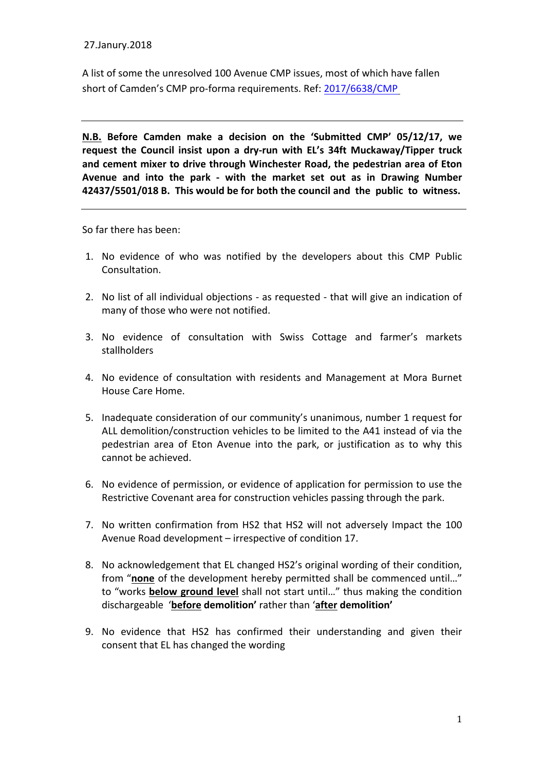## 27.Janury.2018

A list of some the unresolved 100 Avenue CMP issues, most of which have fallen short of Camden's CMP pro-forma requirements. Ref: [2017/6638/CMP](http://planningrecords.camden.gov.uk/Northgate/PlanningExplorer17/Generic/StdDetails.aspx?PT=Planning Applications On-Line&TYPE=PL/PlanningPK.xml&PARAM0=457640&XSLT=/Northgate/PlanningExplorer17/SiteFiles/Skins/Camden/xslt/PL/PLDetails.xslt&FT=Planning Application Details&PUBLIC=Y&XMLSIDE=/Northgate/PlanningExplorer17/SiteFiles/Skins/Camden/Menus/PL.xml&DAURI=PLANNING)

**N.B. Before Camden make a decision on the 'Submitted CMP' 05/12/17, we**  request the Council insist upon a dry-run with EL's 34ft Muckaway/Tipper truck and cement mixer to drive through Winchester Road, the pedestrian area of Eton Avenue and into the park - with the market set out as in Drawing Number 42437/5501/018 B. This would be for both the council and the public to witness.

So far there has been:

- 1. No evidence of who was notified by the developers about this CMP Public Consultation.
- 2. No list of all individual objections as requested that will give an indication of many of those who were not notified.
- 3. No evidence of consultation with Swiss Cottage and farmer's markets stallholders
- 4. No evidence of consultation with residents and Management at Mora Burnet House Care Home.
- 5. Inadequate consideration of our community's unanimous, number 1 request for ALL demolition/construction vehicles to be limited to the A41 instead of via the pedestrian area of Eton Avenue into the park, or justification as to why this cannot be achieved.
- 6. No evidence of permission, or evidence of application for permission to use the Restrictive Covenant area for construction vehicles passing through the park.
- 7. No written confirmation from HS2 that HS2 will not adversely Impact the 100 Avenue Road development – irrespective of condition 17.
- 8. No acknowledgement that EL changed HS2's original wording of their condition, from "none of the development hereby permitted shall be commenced until..." to "works **below ground level** shall not start until..." thus making the condition dischargeable '**before demolition'** rather than '**after demolition'**
- 9. No evidence that HS2 has confirmed their understanding and given their consent that EL has changed the wording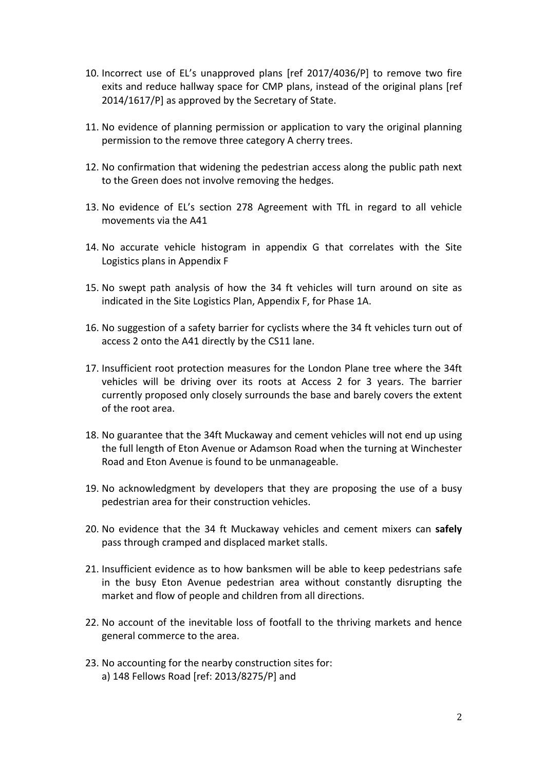- 10. Incorrect use of EL's unapproved plans [ref 2017/4036/P] to remove two fire exits and reduce hallway space for CMP plans, instead of the original plans [ref  $2014/1617/P$ ] as approved by the Secretary of State.
- 11. No evidence of planning permission or application to vary the original planning permission to the remove three category A cherry trees.
- 12. No confirmation that widening the pedestrian access along the public path next to the Green does not involve removing the hedges.
- 13. No evidence of EL's section 278 Agreement with TfL in regard to all vehicle movements via the A41
- 14. No accurate vehicle histogram in appendix G that correlates with the Site Logistics plans in Appendix F
- 15. No swept path analysis of how the 34 ft vehicles will turn around on site as indicated in the Site Logistics Plan, Appendix F, for Phase 1A.
- 16. No suggestion of a safety barrier for cyclists where the 34 ft vehicles turn out of access 2 onto the A41 directly by the CS11 lane.
- 17. Insufficient root protection measures for the London Plane tree where the 34ft vehicles will be driving over its roots at Access 2 for 3 years. The barrier currently proposed only closely surrounds the base and barely covers the extent of the root area.
- 18. No guarantee that the 34ft Muckaway and cement vehicles will not end up using the full length of Eton Avenue or Adamson Road when the turning at Winchester Road and Eton Avenue is found to be unmanageable.
- 19. No acknowledgment by developers that they are proposing the use of a busy pedestrian area for their construction vehicles.
- 20. No evidence that the 34 ft Muckaway vehicles and cement mixers can safely pass through cramped and displaced market stalls.
- 21. Insufficient evidence as to how banksmen will be able to keep pedestrians safe in the busy Eton Avenue pedestrian area without constantly disrupting the market and flow of people and children from all directions.
- 22. No account of the inevitable loss of footfall to the thriving markets and hence general commerce to the area.
- 23. No accounting for the nearby construction sites for: a) 148 Fellows Road [ref: 2013/8275/P] and